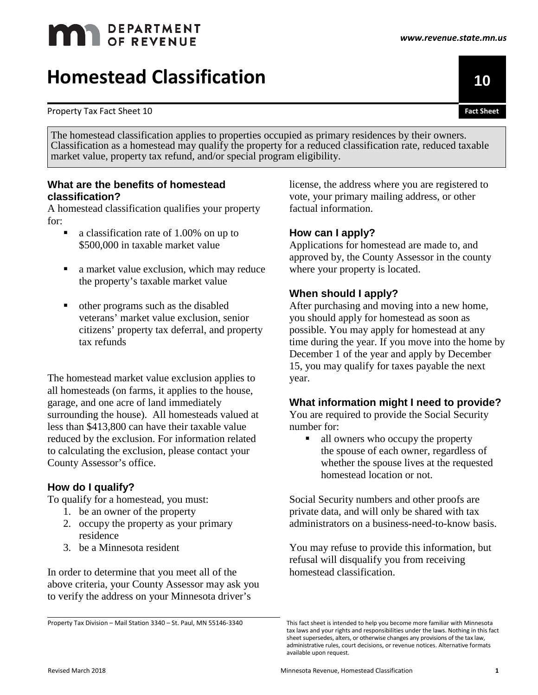# **MAN** DEPARTMENT

# **Homestead Classification <sup>10</sup>**

Property Tax Fact Sheet 10

The homestead classification applies to properties occupied as primary residences by their owners. Classification as a homestead may qualify the property for a reduced classification rate, reduced taxable market value, property tax refund, and/or special program eligibility.

# **What are the benefits of homestead classification?**

A homestead classification qualifies your property for:

- a classification rate of 1.00% on up to \$500,000 in taxable market value
- a market value exclusion, which may reduce the property's taxable market value
- other programs such as the disabled veterans' market value exclusion, senior citizens' property tax deferral, and property tax refunds

The homestead market value exclusion applies to all homesteads (on farms, it applies to the house, garage, and one acre of land immediately surrounding the house). All homesteads valued at less than \$413,800 can have their taxable value reduced by the exclusion. For information related to calculating the exclusion, please contact your County Assessor's office.

# **How do I qualify?**

To qualify for a homestead, you must:

- 1. be an owner of the property
- 2. occupy the property as your primary residence
- 3. be a Minnesota resident

In order to determine that you meet all of the above criteria, your County Assessor may ask you to verify the address on your Minnesota driver's

Property Tax Division – Mail Station 3340 – St. Paul, MN 55146-3340

license, the address where you are registered to vote, your primary mailing address, or other factual information.

# **How can I apply?**

Applications for homestead are made to, and approved by, the County Assessor in the county where your property is located.

# **When should I apply?**

After purchasing and moving into a new home, you should apply for homestead as soon as possible. You may apply for homestead at any time during the year. If you move into the home by December 1 of the year and apply by December 15, you may qualify for taxes payable the next year.

## **What information might I need to provide?**

You are required to provide the Social Security number for:

■ all owners who occupy the property the spouse of each owner, regardless of whether the spouse lives at the requested homestead location or not.

Social Security numbers and other proofs are private data, and will only be shared with tax administrators on a business-need-to-know basis.

You may refuse to provide this information, but refusal will disqualify you from receiving homestead classification.

This fact sheet is intended to help you become more familiar with Minnesota tax laws and your rights and responsibilities under the laws. Nothing in this fact sheet supersedes, alters, or otherwise changes any provisions of the tax law, administrative rules, court decisions, or revenue notices. Alternative formats available upon request.